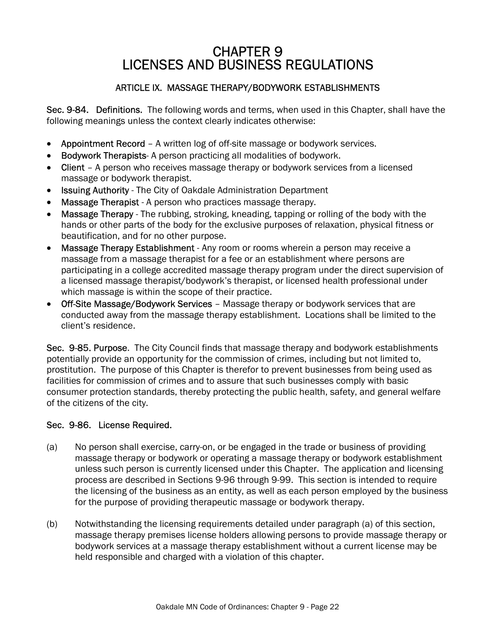# CHAPTER 9 LICENSES AND BUSINESS REGULATIONS

## ARTICLE IX. MASSAGE THERAPY/BODYWORK ESTABLISHMENTS

Sec. 9-84. Definitions. The following words and terms, when used in this Chapter, shall have the following meanings unless the context clearly indicates otherwise:

- Appointment Record A written log of off-site massage or bodywork services.
- Bodywork Therapists- A person practicing all modalities of bodywork.
- Client A person who receives massage therapy or bodywork services from a licensed massage or bodywork therapist.
- Issuing Authority The City of Oakdale Administration Department
- Massage Therapist A person who practices massage therapy.
- Massage Therapy The rubbing, stroking, kneading, tapping or rolling of the body with the hands or other parts of the body for the exclusive purposes of relaxation, physical fitness or beautification, and for no other purpose.
- Massage Therapy Establishment Any room or rooms wherein a person may receive a massage from a massage therapist for a fee or an establishment where persons are participating in a college accredited massage therapy program under the direct supervision of a licensed massage therapist/bodywork's therapist, or licensed health professional under which massage is within the scope of their practice.
- Off-Site Massage/Bodywork Services Massage therapy or bodywork services that are conducted away from the massage therapy establishment. Locations shall be limited to the client's residence.

Sec. 9-85. Purpose. The City Council finds that massage therapy and bodywork establishments potentially provide an opportunity for the commission of crimes, including but not limited to, prostitution. The purpose of this Chapter is therefor to prevent businesses from being used as facilities for commission of crimes and to assure that such businesses comply with basic consumer protection standards, thereby protecting the public health, safety, and general welfare of the citizens of the city.

## Sec. 9-86. License Required.

- (a) No person shall exercise, carry-on, or be engaged in the trade or business of providing massage therapy or bodywork or operating a massage therapy or bodywork establishment unless such person is currently licensed under this Chapter. The application and licensing process are described in Sections 9-96 through 9-99. This section is intended to require the licensing of the business as an entity, as well as each person employed by the business for the purpose of providing therapeutic massage or bodywork therapy.
- (b) Notwithstanding the licensing requirements detailed under paragraph (a) of this section, massage therapy premises license holders allowing persons to provide massage therapy or bodywork services at a massage therapy establishment without a current license may be held responsible and charged with a violation of this chapter.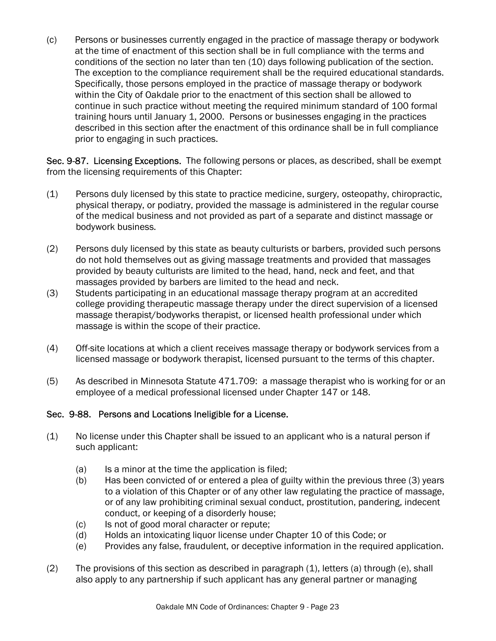(c) Persons or businesses currently engaged in the practice of massage therapy or bodywork at the time of enactment of this section shall be in full compliance with the terms and conditions of the section no later than ten (10) days following publication of the section. The exception to the compliance requirement shall be the required educational standards. Specifically, those persons employed in the practice of massage therapy or bodywork within the City of Oakdale prior to the enactment of this section shall be allowed to continue in such practice without meeting the required minimum standard of 100 formal training hours until January 1, 2000. Persons or businesses engaging in the practices described in this section after the enactment of this ordinance shall be in full compliance prior to engaging in such practices.

Sec. 9-87. Licensing Exceptions. The following persons or places, as described, shall be exempt from the licensing requirements of this Chapter:

- (1) Persons duly licensed by this state to practice medicine, surgery, osteopathy, chiropractic, physical therapy, or podiatry, provided the massage is administered in the regular course of the medical business and not provided as part of a separate and distinct massage or bodywork business.
- (2) Persons duly licensed by this state as beauty culturists or barbers, provided such persons do not hold themselves out as giving massage treatments and provided that massages provided by beauty culturists are limited to the head, hand, neck and feet, and that massages provided by barbers are limited to the head and neck.
- (3) Students participating in an educational massage therapy program at an accredited college providing therapeutic massage therapy under the direct supervision of a licensed massage therapist/bodyworks therapist, or licensed health professional under which massage is within the scope of their practice.
- (4) Off-site locations at which a client receives massage therapy or bodywork services from a licensed massage or bodywork therapist, licensed pursuant to the terms of this chapter.
- (5) As described in Minnesota Statute 471.709: a massage therapist who is working for or an employee of a medical professional licensed under Chapter 147 or 148.

## Sec. 9-88. Persons and Locations Ineligible for a License.

- (1) No license under this Chapter shall be issued to an applicant who is a natural person if such applicant:
	- (a) Is a minor at the time the application is filed;
	- (b) Has been convicted of or entered a plea of guilty within the previous three (3) years to a violation of this Chapter or of any other law regulating the practice of massage, or of any law prohibiting criminal sexual conduct, prostitution, pandering, indecent conduct, or keeping of a disorderly house;
	- (c) Is not of good moral character or repute;
	- (d) Holds an intoxicating liquor license under Chapter 10 of this Code; or
	- (e) Provides any false, fraudulent, or deceptive information in the required application.
- (2) The provisions of this section as described in paragraph (1), letters (a) through (e), shall also apply to any partnership if such applicant has any general partner or managing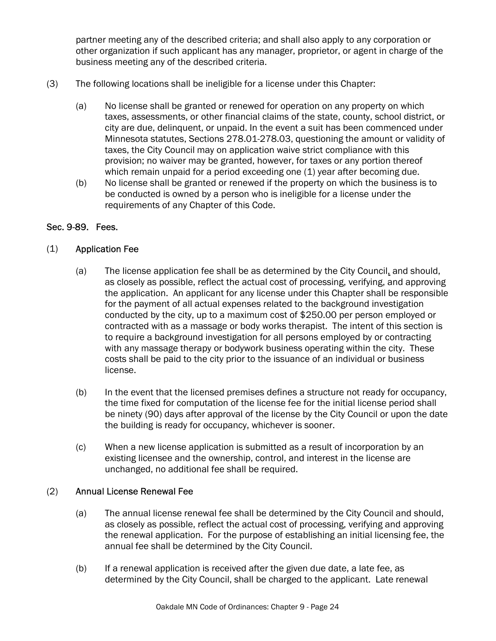partner meeting any of the described criteria; and shall also apply to any corporation or other organization if such applicant has any manager, proprietor, or agent in charge of the business meeting any of the described criteria.

- (3) The following locations shall be ineligible for a license under this Chapter:
	- (a) No license shall be granted or renewed for operation on any property on which taxes, assessments, or other financial claims of the state, county, school district, or city are due, delinquent, or unpaid. In the event a suit has been commenced under Minnesota statutes, Sections 278.01-278.03, questioning the amount or validity of taxes, the City Council may on application waive strict compliance with this provision; no waiver may be granted, however, for taxes or any portion thereof which remain unpaid for a period exceeding one (1) year after becoming due.
	- (b) No license shall be granted or renewed if the property on which the business is to be conducted is owned by a person who is ineligible for a license under the requirements of any Chapter of this Code.

#### Sec. 9-89. Fees.

#### (1) Application Fee

- (a) The license application fee shall be as determined by the City Council, and should, as closely as possible, reflect the actual cost of processing, verifying, and approving the application. An applicant for any license under this Chapter shall be responsible for the payment of all actual expenses related to the background investigation conducted by the city, up to a maximum cost of \$250.00 per person employed or contracted with as a massage or body works therapist. The intent of this section is to require a background investigation for all persons employed by or contracting with any massage therapy or bodywork business operating within the city. These costs shall be paid to the city prior to the issuance of an individual or business license.
- (b) In the event that the licensed premises defines a structure not ready for occupancy, the time fixed for computation of the license fee for the initial license period shall be ninety (90) days after approval of the license by the City Council or upon the date the building is ready for occupancy, whichever is sooner.
- (c) When a new license application is submitted as a result of incorporation by an existing licensee and the ownership, control, and interest in the license are unchanged, no additional fee shall be required.

#### (2) Annual License Renewal Fee

- (a) The annual license renewal fee shall be determined by the City Council and should, as closely as possible, reflect the actual cost of processing, verifying and approving the renewal application. For the purpose of establishing an initial licensing fee, the annual fee shall be determined by the City Council.
- (b) If a renewal application is received after the given due date, a late fee, as determined by the City Council, shall be charged to the applicant. Late renewal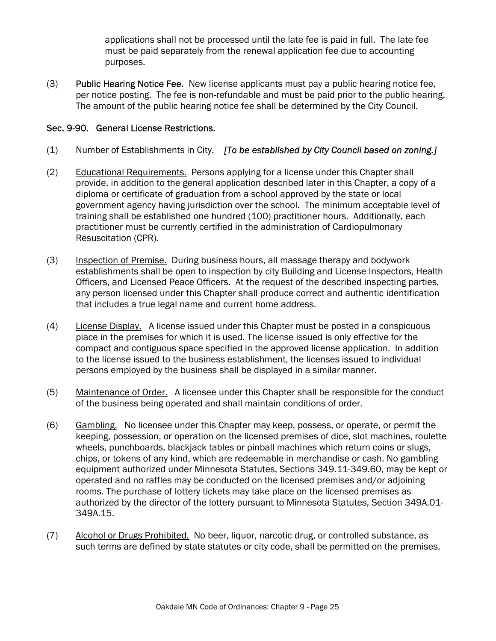applications shall not be processed until the late fee is paid in full. The late fee must be paid separately from the renewal application fee due to accounting purposes.

(3) Public Hearing Notice Fee. New license applicants must pay a public hearing notice fee, per notice posting. The fee is non-refundable and must be paid prior to the public hearing. The amount of the public hearing notice fee shall be determined by the City Council.

### Sec. 9-90. General License Restrictions.

- (1) Number of Establishments in City. [To be established by City Council based on zoning.]
- (2) Educational Requirements. Persons applying for a license under this Chapter shall provide, in addition to the general application described later in this Chapter, a copy of a diploma or certificate of graduation from a school approved by the state or local government agency having jurisdiction over the school. The minimum acceptable level of training shall be established one hundred (100) practitioner hours. Additionally, each practitioner must be currently certified in the administration of Cardiopulmonary Resuscitation (CPR).
- (3) Inspection of Premise. During business hours, all massage therapy and bodywork establishments shall be open to inspection by city Building and License Inspectors, Health Officers, and Licensed Peace Officers. At the request of the described inspecting parties, any person licensed under this Chapter shall produce correct and authentic identification that includes a true legal name and current home address.
- $(4)$  License Display. A license issued under this Chapter must be posted in a conspicuous place in the premises for which it is used. The license issued is only effective for the compact and contiguous space specified in the approved license application. In addition to the license issued to the business establishment, the licenses issued to individual persons employed by the business shall be displayed in a similar manner.
- (5) Maintenance of Order. A licensee under this Chapter shall be responsible for the conduct of the business being operated and shall maintain conditions of order.
- (6) Gambling. No licensee under this Chapter may keep, possess, or operate, or permit the keeping, possession, or operation on the licensed premises of dice, slot machines, roulette wheels, punchboards, blackjack tables or pinball machines which return coins or slugs, chips, or tokens of any kind, which are redeemable in merchandise or cash. No gambling equipment authorized under Minnesota Statutes, Sections 349.11-349.60, may be kept or operated and no raffles may be conducted on the licensed premises and/or adjoining rooms. The purchase of lottery tickets may take place on the licensed premises as authorized by the director of the lottery pursuant to Minnesota Statutes, Section 349A.01- 349A.15.
- (7) Alcohol or Drugs Prohibited. No beer, liquor, narcotic drug, or controlled substance, as such terms are defined by state statutes or city code, shall be permitted on the premises.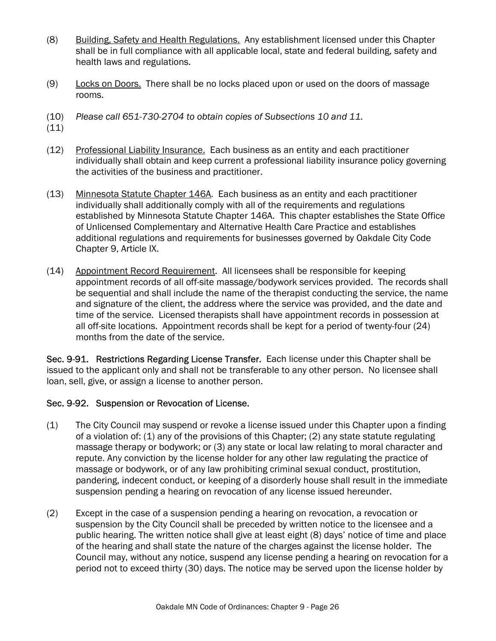- (8) Building, Safety and Health Regulations. Any establishment licensed under this Chapter shall be in full compliance with all applicable local, state and federal building, safety and health laws and regulations.
- (9) Locks on Doors. There shall be no locks placed upon or used on the doors of massage rooms.
- (10) Please call 651-730-2704 to obtain copies of Subsections 10 and 11.
- $(11)$
- (12) Professional Liability Insurance. Each business as an entity and each practitioner individually shall obtain and keep current a professional liability insurance policy governing the activities of the business and practitioner.
- (13) Minnesota Statute Chapter 146A. Each business as an entity and each practitioner individually shall additionally comply with all of the requirements and regulations established by Minnesota Statute Chapter 146A. This chapter establishes the State Office of Unlicensed Complementary and Alternative Health Care Practice and establishes additional regulations and requirements for businesses governed by Oakdale City Code Chapter 9, Article IX.
- (14) Appointment Record Requirement. All licensees shall be responsible for keeping appointment records of all off-site massage/bodywork services provided. The records shall be sequential and shall include the name of the therapist conducting the service, the name and signature of the client, the address where the service was provided, and the date and time of the service. Licensed therapists shall have appointment records in possession at all off-site locations. Appointment records shall be kept for a period of twenty-four (24) months from the date of the service.

Sec. 9-91. Restrictions Regarding License Transfer. Each license under this Chapter shall be issued to the applicant only and shall not be transferable to any other person. No licensee shall loan, sell, give, or assign a license to another person.

## Sec. 9-92. Suspension or Revocation of License.

- (1) The City Council may suspend or revoke a license issued under this Chapter upon a finding of a violation of: (1) any of the provisions of this Chapter; (2) any state statute regulating massage therapy or bodywork; or (3) any state or local law relating to moral character and repute. Any conviction by the license holder for any other law regulating the practice of massage or bodywork, or of any law prohibiting criminal sexual conduct, prostitution, pandering, indecent conduct, or keeping of a disorderly house shall result in the immediate suspension pending a hearing on revocation of any license issued hereunder.
- (2) Except in the case of a suspension pending a hearing on revocation, a revocation or suspension by the City Council shall be preceded by written notice to the licensee and a public hearing. The written notice shall give at least eight (8) days' notice of time and place of the hearing and shall state the nature of the charges against the license holder. The Council may, without any notice, suspend any license pending a hearing on revocation for a period not to exceed thirty (30) days. The notice may be served upon the license holder by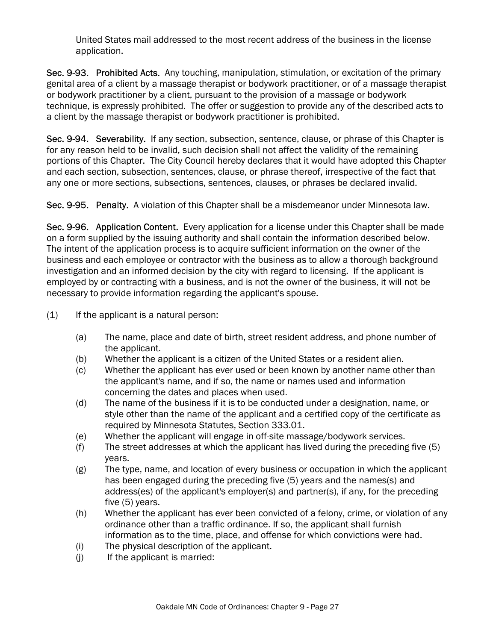United States mail addressed to the most recent address of the business in the license application.

Sec. 9-93. Prohibited Acts. Any touching, manipulation, stimulation, or excitation of the primary genital area of a client by a massage therapist or bodywork practitioner, or of a massage therapist or bodywork practitioner by a client, pursuant to the provision of a massage or bodywork technique, is expressly prohibited. The offer or suggestion to provide any of the described acts to a client by the massage therapist or bodywork practitioner is prohibited.

Sec. 9-94. Severability. If any section, subsection, sentence, clause, or phrase of this Chapter is for any reason held to be invalid, such decision shall not affect the validity of the remaining portions of this Chapter. The City Council hereby declares that it would have adopted this Chapter and each section, subsection, sentences, clause, or phrase thereof, irrespective of the fact that any one or more sections, subsections, sentences, clauses, or phrases be declared invalid.

Sec. 9-95. Penalty. A violation of this Chapter shall be a misdemeanor under Minnesota law.

Sec. 9-96. Application Content. Every application for a license under this Chapter shall be made on a form supplied by the issuing authority and shall contain the information described below. The intent of the application process is to acquire sufficient information on the owner of the business and each employee or contractor with the business as to allow a thorough background investigation and an informed decision by the city with regard to licensing. If the applicant is employed by or contracting with a business, and is not the owner of the business, it will not be necessary to provide information regarding the applicant's spouse.

- (1) If the applicant is a natural person:
	- (a) The name, place and date of birth, street resident address, and phone number of the applicant.
	- (b) Whether the applicant is a citizen of the United States or a resident alien.
	- (c) Whether the applicant has ever used or been known by another name other than the applicant's name, and if so, the name or names used and information concerning the dates and places when used.
	- (d) The name of the business if it is to be conducted under a designation, name, or style other than the name of the applicant and a certified copy of the certificate as required by Minnesota Statutes, Section 333.01.
	- (e) Whether the applicant will engage in off-site massage/bodywork services.
	- (f) The street addresses at which the applicant has lived during the preceding five (5) years.
	- (g) The type, name, and location of every business or occupation in which the applicant has been engaged during the preceding five (5) years and the names(s) and address(es) of the applicant's employer(s) and partner(s), if any, for the preceding five (5) years.
	- (h) Whether the applicant has ever been convicted of a felony, crime, or violation of any ordinance other than a traffic ordinance. If so, the applicant shall furnish information as to the time, place, and offense for which convictions were had.
	- (i) The physical description of the applicant.
	- (j) If the applicant is married: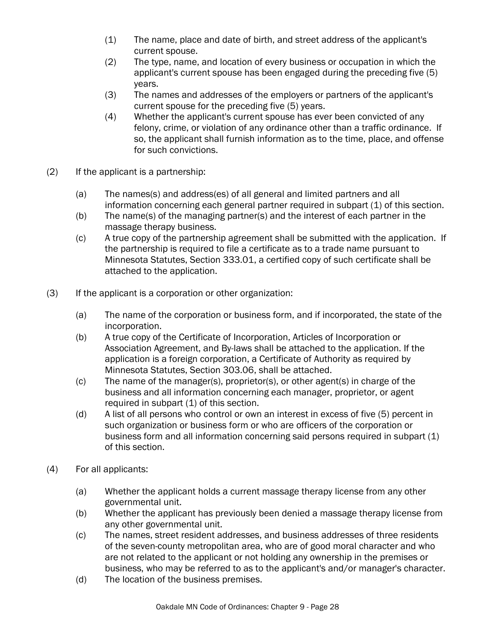- (1) The name, place and date of birth, and street address of the applicant's current spouse.
- (2) The type, name, and location of every business or occupation in which the applicant's current spouse has been engaged during the preceding five (5) years.
- (3) The names and addresses of the employers or partners of the applicant's current spouse for the preceding five (5) years.
- (4) Whether the applicant's current spouse has ever been convicted of any felony, crime, or violation of any ordinance other than a traffic ordinance. If so, the applicant shall furnish information as to the time, place, and offense for such convictions.
- (2) If the applicant is a partnership:
	- (a) The names(s) and address(es) of all general and limited partners and all information concerning each general partner required in subpart (1) of this section.
	- (b) The name(s) of the managing partner(s) and the interest of each partner in the massage therapy business.
	- (c) A true copy of the partnership agreement shall be submitted with the application. If the partnership is required to file a certificate as to a trade name pursuant to Minnesota Statutes, Section 333.01, a certified copy of such certificate shall be attached to the application.
- (3) If the applicant is a corporation or other organization:
	- (a) The name of the corporation or business form, and if incorporated, the state of the incorporation.
	- (b) A true copy of the Certificate of Incorporation, Articles of Incorporation or Association Agreement, and By-laws shall be attached to the application. If the application is a foreign corporation, a Certificate of Authority as required by Minnesota Statutes, Section 303.06, shall be attached.
	- (c) The name of the manager(s), proprietor(s), or other agent(s) in charge of the business and all information concerning each manager, proprietor, or agent required in subpart (1) of this section.
	- (d) A list of all persons who control or own an interest in excess of five (5) percent in such organization or business form or who are officers of the corporation or business form and all information concerning said persons required in subpart (1) of this section.
- (4) For all applicants:
	- (a) Whether the applicant holds a current massage therapy license from any other governmental unit.
	- (b) Whether the applicant has previously been denied a massage therapy license from any other governmental unit.
	- (c) The names, street resident addresses, and business addresses of three residents of the seven-county metropolitan area, who are of good moral character and who are not related to the applicant or not holding any ownership in the premises or business, who may be referred to as to the applicant's and/or manager's character.
	- (d) The location of the business premises.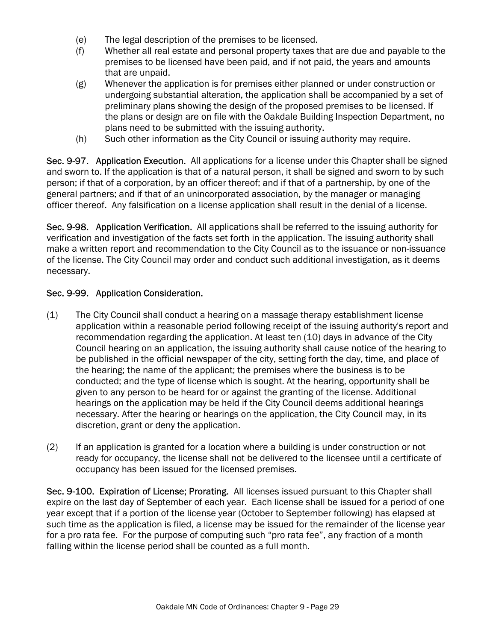- (e) The legal description of the premises to be licensed.
- (f) Whether all real estate and personal property taxes that are due and payable to the premises to be licensed have been paid, and if not paid, the years and amounts that are unpaid.
- (g) Whenever the application is for premises either planned or under construction or undergoing substantial alteration, the application shall be accompanied by a set of preliminary plans showing the design of the proposed premises to be licensed. If the plans or design are on file with the Oakdale Building Inspection Department, no plans need to be submitted with the issuing authority.
- (h) Such other information as the City Council or issuing authority may require.

Sec. 9-97. Application Execution. All applications for a license under this Chapter shall be signed and sworn to. If the application is that of a natural person, it shall be signed and sworn to by such person; if that of a corporation, by an officer thereof; and if that of a partnership, by one of the general partners; and if that of an unincorporated association, by the manager or managing officer thereof. Any falsification on a license application shall result in the denial of a license.

Sec. 9-98. Application Verification. All applications shall be referred to the issuing authority for verification and investigation of the facts set forth in the application. The issuing authority shall make a written report and recommendation to the City Council as to the issuance or non-issuance of the license. The City Council may order and conduct such additional investigation, as it deems necessary.

# Sec. 9-99. Application Consideration.

- (1) The City Council shall conduct a hearing on a massage therapy establishment license application within a reasonable period following receipt of the issuing authority's report and recommendation regarding the application. At least ten (10) days in advance of the City Council hearing on an application, the issuing authority shall cause notice of the hearing to be published in the official newspaper of the city, setting forth the day, time, and place of the hearing; the name of the applicant; the premises where the business is to be conducted; and the type of license which is sought. At the hearing, opportunity shall be given to any person to be heard for or against the granting of the license. Additional hearings on the application may be held if the City Council deems additional hearings necessary. After the hearing or hearings on the application, the City Council may, in its discretion, grant or deny the application.
- (2) If an application is granted for a location where a building is under construction or not ready for occupancy, the license shall not be delivered to the licensee until a certificate of occupancy has been issued for the licensed premises.

Sec. 9-100. Expiration of License; Prorating. All licenses issued pursuant to this Chapter shall expire on the last day of September of each year. Each license shall be issued for a period of one year except that if a portion of the license year (October to September following) has elapsed at such time as the application is filed, a license may be issued for the remainder of the license year for a pro rata fee. For the purpose of computing such "pro rata fee", any fraction of a month falling within the license period shall be counted as a full month.